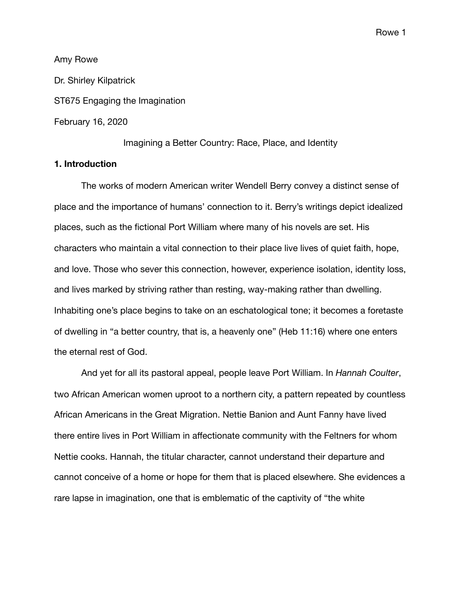Amy Rowe Dr. Shirley Kilpatrick ST675 Engaging the Imagination February 16, 2020

Imagining a Better Country: Race, Place, and Identity

# **1. Introduction**

The works of modern American writer Wendell Berry convey a distinct sense of place and the importance of humans' connection to it. Berry's writings depict idealized places, such as the fictional Port William where many of his novels are set. His characters who maintain a vital connection to their place live lives of quiet faith, hope, and love. Those who sever this connection, however, experience isolation, identity loss, and lives marked by striving rather than resting, way-making rather than dwelling. Inhabiting one's place begins to take on an eschatological tone; it becomes a foretaste of dwelling in "a better country, that is, a heavenly one" (Heb 11:16) where one enters the eternal rest of God.

And yet for all its pastoral appeal, people leave Port William. In *Hannah Coulter*, two African American women uproot to a northern city, a pattern repeated by countless African Americans in the Great Migration. Nettie Banion and Aunt Fanny have lived there entire lives in Port William in affectionate community with the Feltners for whom Nettie cooks. Hannah, the titular character, cannot understand their departure and cannot conceive of a home or hope for them that is placed elsewhere. She evidences a rare lapse in imagination, one that is emblematic of the captivity of "the white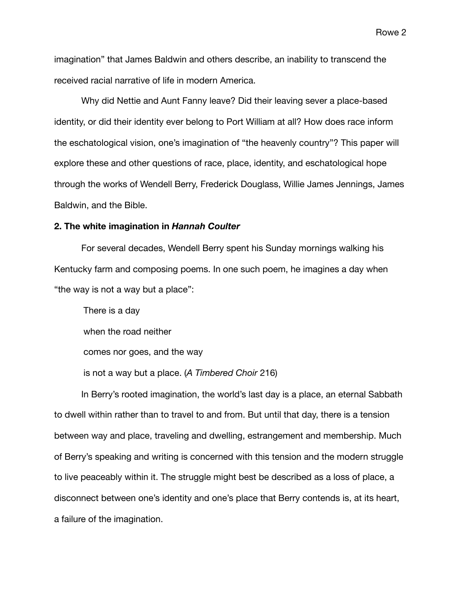imagination" that James Baldwin and others describe, an inability to transcend the received racial narrative of life in modern America.

Why did Nettie and Aunt Fanny leave? Did their leaving sever a place-based identity, or did their identity ever belong to Port William at all? How does race inform the eschatological vision, one's imagination of "the heavenly country"? This paper will explore these and other questions of race, place, identity, and eschatological hope through the works of Wendell Berry, Frederick Douglass, Willie James Jennings, James Baldwin, and the Bible.

#### **2. The white imagination in** *Hannah Coulter*

For several decades, Wendell Berry spent his Sunday mornings walking his Kentucky farm and composing poems. In one such poem, he imagines a day when "the way is not a way but a place":

There is a day when the road neither comes nor goes, and the way is not a way but a place. (*A Timbered Choir* 216)

In Berry's rooted imagination, the world's last day is a place, an eternal Sabbath to dwell within rather than to travel to and from. But until that day, there is a tension between way and place, traveling and dwelling, estrangement and membership. Much of Berry's speaking and writing is concerned with this tension and the modern struggle to live peaceably within it. The struggle might best be described as a loss of place, a disconnect between one's identity and one's place that Berry contends is, at its heart, a failure of the imagination.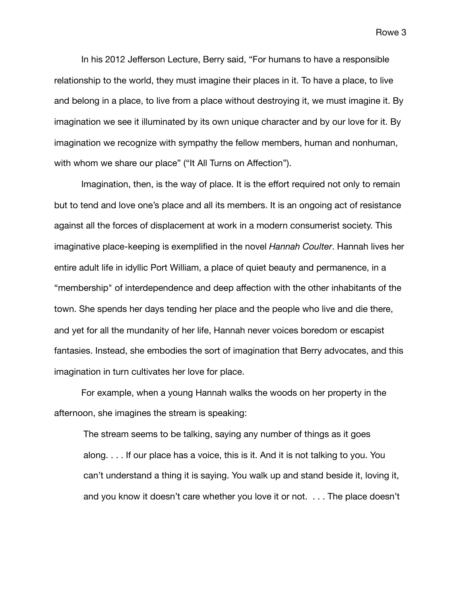In his 2012 Jefferson Lecture, Berry said, "For humans to have a responsible relationship to the world, they must imagine their places in it. To have a place, to live and belong in a place, to live from a place without destroying it, we must imagine it. By imagination we see it illuminated by its own unique character and by our love for it. By imagination we recognize with sympathy the fellow members, human and nonhuman, with whom we share our place" ("It All Turns on Affection").

Imagination, then, is the way of place. It is the effort required not only to remain but to tend and love one's place and all its members. It is an ongoing act of resistance against all the forces of displacement at work in a modern consumerist society. This imaginative place-keeping is exemplified in the novel *Hannah Coulter*. Hannah lives her entire adult life in idyllic Port William, a place of quiet beauty and permanence, in a "membership" of interdependence and deep affection with the other inhabitants of the town. She spends her days tending her place and the people who live and die there, and yet for all the mundanity of her life, Hannah never voices boredom or escapist fantasies. Instead, she embodies the sort of imagination that Berry advocates, and this imagination in turn cultivates her love for place.

For example, when a young Hannah walks the woods on her property in the afternoon, she imagines the stream is speaking:

The stream seems to be talking, saying any number of things as it goes along. . . . If our place has a voice, this is it. And it is not talking to you. You can't understand a thing it is saying. You walk up and stand beside it, loving it, and you know it doesn't care whether you love it or not. . . . The place doesn't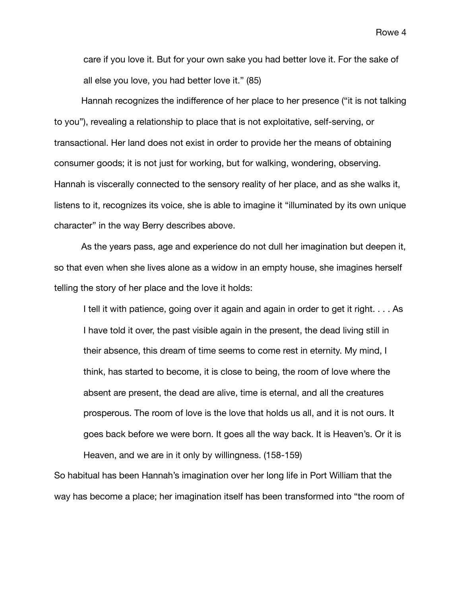care if you love it. But for your own sake you had better love it. For the sake of all else you love, you had better love it." (85)

Hannah recognizes the indifference of her place to her presence ("it is not talking to you"), revealing a relationship to place that is not exploitative, self-serving, or transactional. Her land does not exist in order to provide her the means of obtaining consumer goods; it is not just for working, but for walking, wondering, observing. Hannah is viscerally connected to the sensory reality of her place, and as she walks it, listens to it, recognizes its voice, she is able to imagine it "illuminated by its own unique character" in the way Berry describes above.

As the years pass, age and experience do not dull her imagination but deepen it, so that even when she lives alone as a widow in an empty house, she imagines herself telling the story of her place and the love it holds:

I tell it with patience, going over it again and again in order to get it right. . . . As I have told it over, the past visible again in the present, the dead living still in their absence, this dream of time seems to come rest in eternity. My mind, I think, has started to become, it is close to being, the room of love where the absent are present, the dead are alive, time is eternal, and all the creatures prosperous. The room of love is the love that holds us all, and it is not ours. It goes back before we were born. It goes all the way back. It is Heaven's. Or it is Heaven, and we are in it only by willingness. (158-159)

So habitual has been Hannah's imagination over her long life in Port William that the way has become a place; her imagination itself has been transformed into "the room of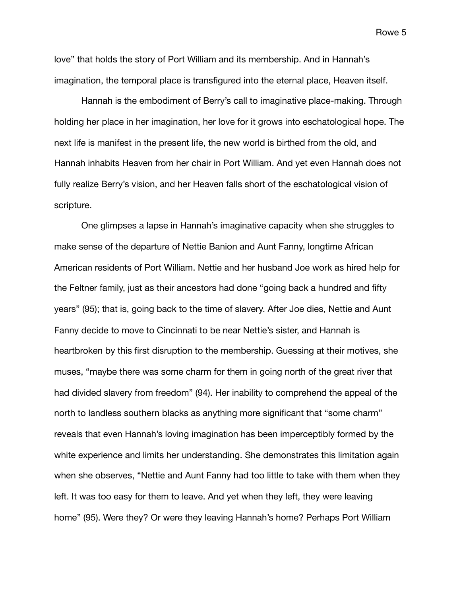love" that holds the story of Port William and its membership. And in Hannah's imagination, the temporal place is transfigured into the eternal place, Heaven itself.

Hannah is the embodiment of Berry's call to imaginative place-making. Through holding her place in her imagination, her love for it grows into eschatological hope. The next life is manifest in the present life, the new world is birthed from the old, and Hannah inhabits Heaven from her chair in Port William. And yet even Hannah does not fully realize Berry's vision, and her Heaven falls short of the eschatological vision of scripture.

One glimpses a lapse in Hannah's imaginative capacity when she struggles to make sense of the departure of Nettie Banion and Aunt Fanny, longtime African American residents of Port William. Nettie and her husband Joe work as hired help for the Feltner family, just as their ancestors had done "going back a hundred and fifty years" (95); that is, going back to the time of slavery. After Joe dies, Nettie and Aunt Fanny decide to move to Cincinnati to be near Nettie's sister, and Hannah is heartbroken by this first disruption to the membership. Guessing at their motives, she muses, "maybe there was some charm for them in going north of the great river that had divided slavery from freedom" (94). Her inability to comprehend the appeal of the north to landless southern blacks as anything more significant that "some charm" reveals that even Hannah's loving imagination has been imperceptibly formed by the white experience and limits her understanding. She demonstrates this limitation again when she observes, "Nettie and Aunt Fanny had too little to take with them when they left. It was too easy for them to leave. And yet when they left, they were leaving home" (95). Were they? Or were they leaving Hannah's home? Perhaps Port William

Rowe 5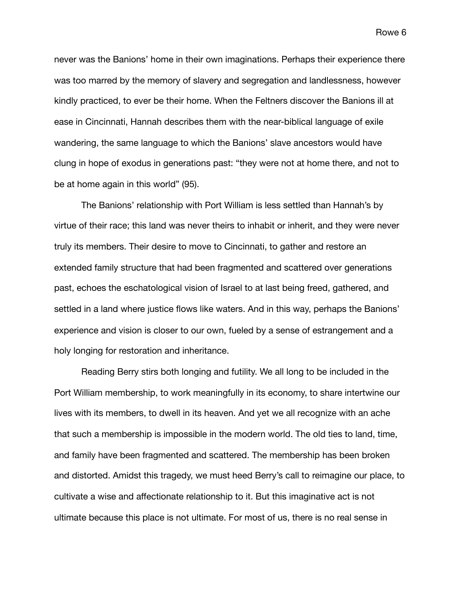never was the Banions' home in their own imaginations. Perhaps their experience there was too marred by the memory of slavery and segregation and landlessness, however kindly practiced, to ever be their home. When the Feltners discover the Banions ill at ease in Cincinnati, Hannah describes them with the near-biblical language of exile wandering, the same language to which the Banions' slave ancestors would have clung in hope of exodus in generations past: "they were not at home there, and not to be at home again in this world" (95).

The Banions' relationship with Port William is less settled than Hannah's by virtue of their race; this land was never theirs to inhabit or inherit, and they were never truly its members. Their desire to move to Cincinnati, to gather and restore an extended family structure that had been fragmented and scattered over generations past, echoes the eschatological vision of Israel to at last being freed, gathered, and settled in a land where justice flows like waters. And in this way, perhaps the Banions' experience and vision is closer to our own, fueled by a sense of estrangement and a holy longing for restoration and inheritance.

Reading Berry stirs both longing and futility. We all long to be included in the Port William membership, to work meaningfully in its economy, to share intertwine our lives with its members, to dwell in its heaven. And yet we all recognize with an ache that such a membership is impossible in the modern world. The old ties to land, time, and family have been fragmented and scattered. The membership has been broken and distorted. Amidst this tragedy, we must heed Berry's call to reimagine our place, to cultivate a wise and affectionate relationship to it. But this imaginative act is not ultimate because this place is not ultimate. For most of us, there is no real sense in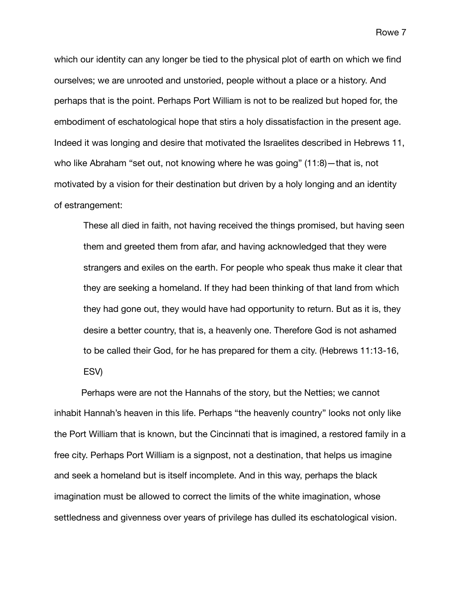which our identity can any longer be tied to the physical plot of earth on which we find ourselves; we are unrooted and unstoried, people without a place or a history. And perhaps that is the point. Perhaps Port William is not to be realized but hoped for, the embodiment of eschatological hope that stirs a holy dissatisfaction in the present age. Indeed it was longing and desire that motivated the Israelites described in Hebrews 11, who like Abraham "set out, not knowing where he was going" (11:8)—that is, not motivated by a vision for their destination but driven by a holy longing and an identity of estrangement:

These all died in faith, not having received the things promised, but having seen them and greeted them from afar, and having acknowledged that they were strangers and exiles on the earth. For people who speak thus make it clear that they are seeking a homeland. If they had been thinking of that land from which they had gone out, they would have had opportunity to return. But as it is, they desire a better country, that is, a heavenly one. Therefore God is not ashamed to be called their God, for he has prepared for them a city. (Hebrews 11:13-16, ESV)

Perhaps were are not the Hannahs of the story, but the Netties; we cannot inhabit Hannah's heaven in this life. Perhaps "the heavenly country" looks not only like the Port William that is known, but the Cincinnati that is imagined, a restored family in a free city. Perhaps Port William is a signpost, not a destination, that helps us imagine and seek a homeland but is itself incomplete. And in this way, perhaps the black imagination must be allowed to correct the limits of the white imagination, whose settledness and givenness over years of privilege has dulled its eschatological vision.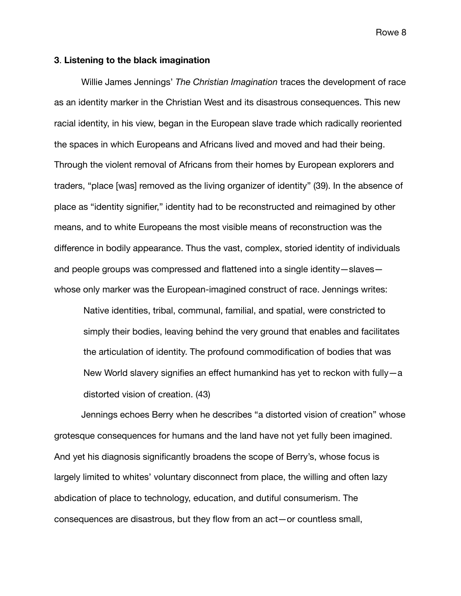### **3**. **Listening to the black imagination**

Willie James Jennings' *The Christian Imagination* traces the development of race as an identity marker in the Christian West and its disastrous consequences. This new racial identity, in his view, began in the European slave trade which radically reoriented the spaces in which Europeans and Africans lived and moved and had their being. Through the violent removal of Africans from their homes by European explorers and traders, "place [was] removed as the living organizer of identity" (39). In the absence of place as "identity signifier," identity had to be reconstructed and reimagined by other means, and to white Europeans the most visible means of reconstruction was the difference in bodily appearance. Thus the vast, complex, storied identity of individuals and people groups was compressed and flattened into a single identity—slaves whose only marker was the European-imagined construct of race. Jennings writes:

Native identities, tribal, communal, familial, and spatial, were constricted to simply their bodies, leaving behind the very ground that enables and facilitates the articulation of identity. The profound commodification of bodies that was New World slavery signifies an effect humankind has yet to reckon with fully—a distorted vision of creation. (43)

Jennings echoes Berry when he describes "a distorted vision of creation" whose grotesque consequences for humans and the land have not yet fully been imagined. And yet his diagnosis significantly broadens the scope of Berry's, whose focus is largely limited to whites' voluntary disconnect from place, the willing and often lazy abdication of place to technology, education, and dutiful consumerism. The consequences are disastrous, but they flow from an act—or countless small,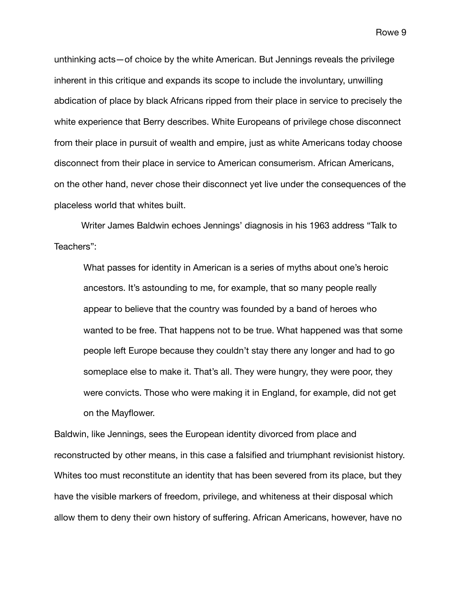unthinking acts—of choice by the white American. But Jennings reveals the privilege inherent in this critique and expands its scope to include the involuntary, unwilling abdication of place by black Africans ripped from their place in service to precisely the white experience that Berry describes. White Europeans of privilege chose disconnect from their place in pursuit of wealth and empire, just as white Americans today choose disconnect from their place in service to American consumerism. African Americans, on the other hand, never chose their disconnect yet live under the consequences of the placeless world that whites built.

Writer James Baldwin echoes Jennings' diagnosis in his 1963 address "Talk to Teachers":

What passes for identity in American is a series of myths about one's heroic ancestors. It's astounding to me, for example, that so many people really appear to believe that the country was founded by a band of heroes who wanted to be free. That happens not to be true. What happened was that some people left Europe because they couldn't stay there any longer and had to go someplace else to make it. That's all. They were hungry, they were poor, they were convicts. Those who were making it in England, for example, did not get on the Mayflower.

Baldwin, like Jennings, sees the European identity divorced from place and reconstructed by other means, in this case a falsified and triumphant revisionist history. Whites too must reconstitute an identity that has been severed from its place, but they have the visible markers of freedom, privilege, and whiteness at their disposal which allow them to deny their own history of suffering. African Americans, however, have no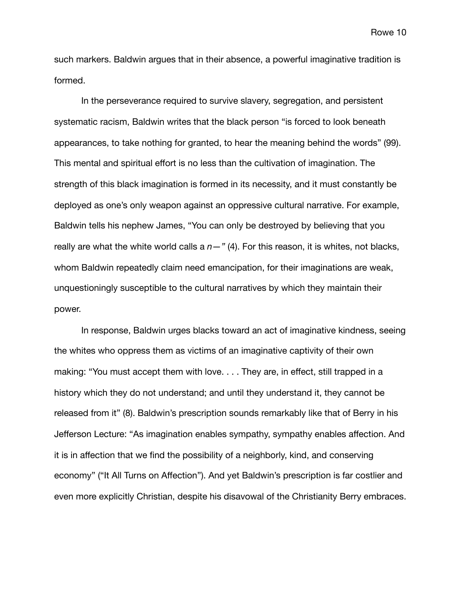such markers. Baldwin argues that in their absence, a powerful imaginative tradition is formed.

In the perseverance required to survive slavery, segregation, and persistent systematic racism, Baldwin writes that the black person "is forced to look beneath appearances, to take nothing for granted, to hear the meaning behind the words" (99). This mental and spiritual effort is no less than the cultivation of imagination. The strength of this black imagination is formed in its necessity, and it must constantly be deployed as one's only weapon against an oppressive cultural narrative. For example, Baldwin tells his nephew James, "You can only be destroyed by believing that you really are what the white world calls a  $n-$ " (4). For this reason, it is whites, not blacks, whom Baldwin repeatedly claim need emancipation, for their imaginations are weak, unquestioningly susceptible to the cultural narratives by which they maintain their power.

In response, Baldwin urges blacks toward an act of imaginative kindness, seeing the whites who oppress them as victims of an imaginative captivity of their own making: "You must accept them with love. . . . They are, in effect, still trapped in a history which they do not understand; and until they understand it, they cannot be released from it" (8). Baldwin's prescription sounds remarkably like that of Berry in his Jefferson Lecture: "As imagination enables sympathy, sympathy enables affection. And it is in affection that we find the possibility of a neighborly, kind, and conserving economy" ("It All Turns on Affection"). And yet Baldwin's prescription is far costlier and even more explicitly Christian, despite his disavowal of the Christianity Berry embraces.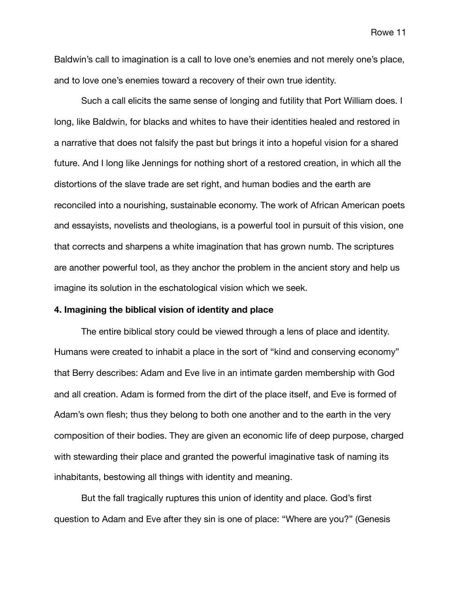Baldwin's call to imagination is a call to love one's enemies and not merely one's place, and to love one's enemies toward a recovery of their own true identity.

Such a call elicits the same sense of longing and futility that Port William does. I long, like Baldwin, for blacks and whites to have their identities healed and restored in a narrative that does not falsify the past but brings it into a hopeful vision for a shared future. And I long like Jennings for nothing short of a restored creation, in which all the distortions of the slave trade are set right, and human bodies and the earth are reconciled into a nourishing, sustainable economy. The work of African American poets and essayists, novelists and theologians, is a powerful tool in pursuit of this vision, one that corrects and sharpens a white imagination that has grown numb. The scriptures are another powerful tool, as they anchor the problem in the ancient story and help us imagine its solution in the eschatological vision which we seek.

## **4. Imagining the biblical vision of identity and place**

The entire biblical story could be viewed through a lens of place and identity. Humans were created to inhabit a place in the sort of "kind and conserving economy" that Berry describes: Adam and Eve live in an intimate garden membership with God and all creation. Adam is formed from the dirt of the place itself, and Eve is formed of Adam's own flesh; thus they belong to both one another and to the earth in the very composition of their bodies. They are given an economic life of deep purpose, charged with stewarding their place and granted the powerful imaginative task of naming its inhabitants, bestowing all things with identity and meaning.

But the fall tragically ruptures this union of identity and place. God's first question to Adam and Eve after they sin is one of place: "Where are you?" (Genesis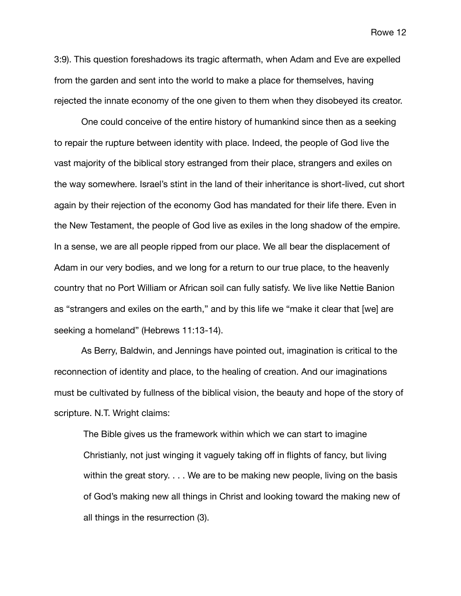3:9). This question foreshadows its tragic aftermath, when Adam and Eve are expelled from the garden and sent into the world to make a place for themselves, having rejected the innate economy of the one given to them when they disobeyed its creator.

One could conceive of the entire history of humankind since then as a seeking to repair the rupture between identity with place. Indeed, the people of God live the vast majority of the biblical story estranged from their place, strangers and exiles on the way somewhere. Israel's stint in the land of their inheritance is short-lived, cut short again by their rejection of the economy God has mandated for their life there. Even in the New Testament, the people of God live as exiles in the long shadow of the empire. In a sense, we are all people ripped from our place. We all bear the displacement of Adam in our very bodies, and we long for a return to our true place, to the heavenly country that no Port William or African soil can fully satisfy. We live like Nettie Banion as "strangers and exiles on the earth," and by this life we "make it clear that [we] are seeking a homeland" (Hebrews 11:13-14).

As Berry, Baldwin, and Jennings have pointed out, imagination is critical to the reconnection of identity and place, to the healing of creation. And our imaginations must be cultivated by fullness of the biblical vision, the beauty and hope of the story of scripture. N.T. Wright claims:

The Bible gives us the framework within which we can start to imagine Christianly, not just winging it vaguely taking off in flights of fancy, but living within the great story. . . . We are to be making new people, living on the basis of God's making new all things in Christ and looking toward the making new of all things in the resurrection (3).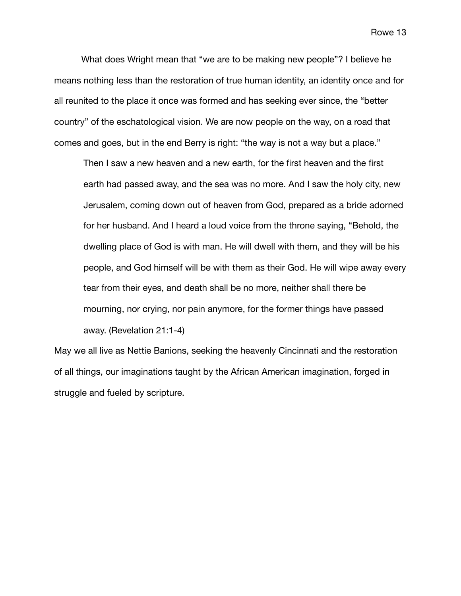What does Wright mean that "we are to be making new people"? I believe he means nothing less than the restoration of true human identity, an identity once and for all reunited to the place it once was formed and has seeking ever since, the "better country" of the eschatological vision. We are now people on the way, on a road that comes and goes, but in the end Berry is right: "the way is not a way but a place."

Then I saw a new heaven and a new earth, for the first heaven and the first earth had passed away, and the sea was no more. And I saw the holy city, new Jerusalem, coming down out of heaven from God, prepared as a bride adorned for her husband. And I heard a loud voice from the throne saying, "Behold, the dwelling place of God is with man. He will dwell with them, and they will be his people, and God himself will be with them as their God. He will wipe away every tear from their eyes, and death shall be no more, neither shall there be mourning, nor crying, nor pain anymore, for the former things have passed away. (Revelation 21:1-4)

May we all live as Nettie Banions, seeking the heavenly Cincinnati and the restoration of all things, our imaginations taught by the African American imagination, forged in struggle and fueled by scripture.